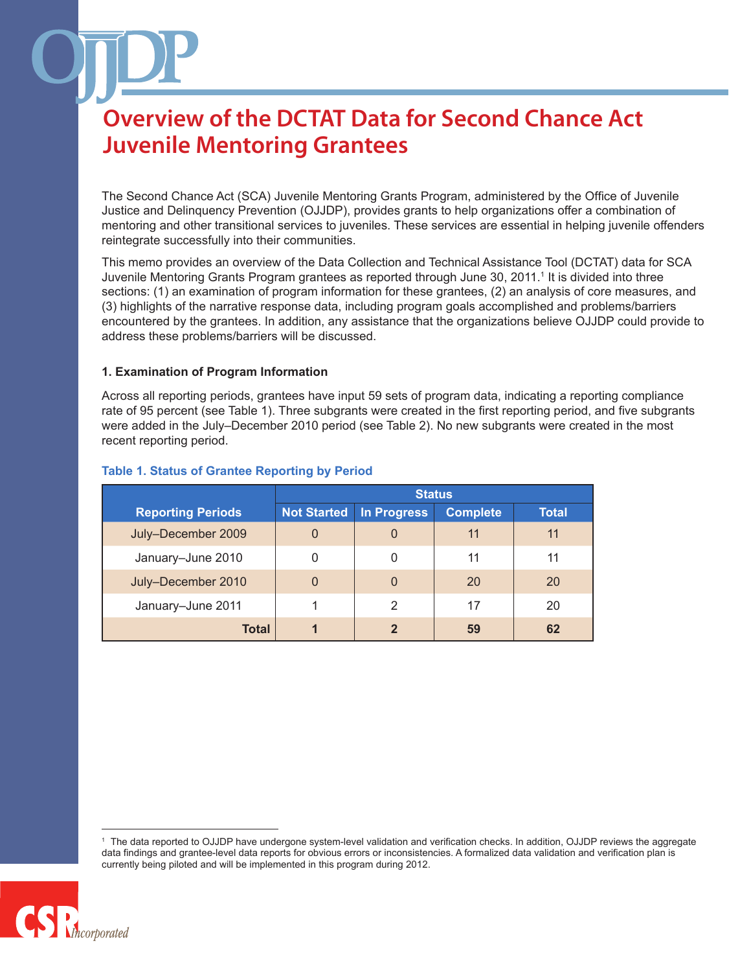The Second Chance Act (SCA) Juvenile Mentoring Grants Program, administered by the Office of Juvenile Justice and Delinquency Prevention (OJJDP), provides grants to help organizations offer a combination of mentoring and other transitional services to juveniles. These services are essential in helping juvenile offenders reintegrate successfully into their communities.

This memo provides an overview of the Data Collection and Technical Assistance Tool (DCTAT) data for SCA Juvenile Mentoring Grants Program grantees as reported through June 30, 2011.1 It is divided into three sections: (1) an examination of program information for these grantees, (2) an analysis of core measures, and (3) highlights of the narrative response data, including program goals accomplished and problems/barriers encountered by the grantees. In addition, any assistance that the organizations believe OJJDP could provide to address these problems/barriers will be discussed.

### **1. Examination of Program Information**

Across all reporting periods, grantees have input 59 sets of program data, indicating a reporting compliance rate of 95 percent (see Table 1). Three subgrants were created in the first reporting period, and five subgrants were added in the July–December 2010 period (see Table 2). No new subgrants were created in the most recent reporting period.

|                          | <b>Status</b>      |                |                 |       |
|--------------------------|--------------------|----------------|-----------------|-------|
| <b>Reporting Periods</b> | <b>Not Started</b> | In Progress    | <b>Complete</b> | Total |
| July-December 2009       | 0                  | 0              | 11              | 11    |
| January-June 2010        | 0                  | 0              | 11              | 11    |
| July-December 2010       | 0                  | $\overline{0}$ | 20              | 20    |
| January-June 2011        |                    | 2              | 17              | 20    |
| <b>Total</b>             | 1                  | $\mathbf{Z}$   | 59              | 62    |

### **Table 1. Status of Grantee Reporting by Period**

The data reported to OJJDP have undergone system-level validation and verification checks. In addition, OJJDP reviews the aggregate data findings and grantee-level data reports for obvious errors or inconsistencies. A formalized data validation and verification plan is currently being piloted and will be implemented in this program during 2012.

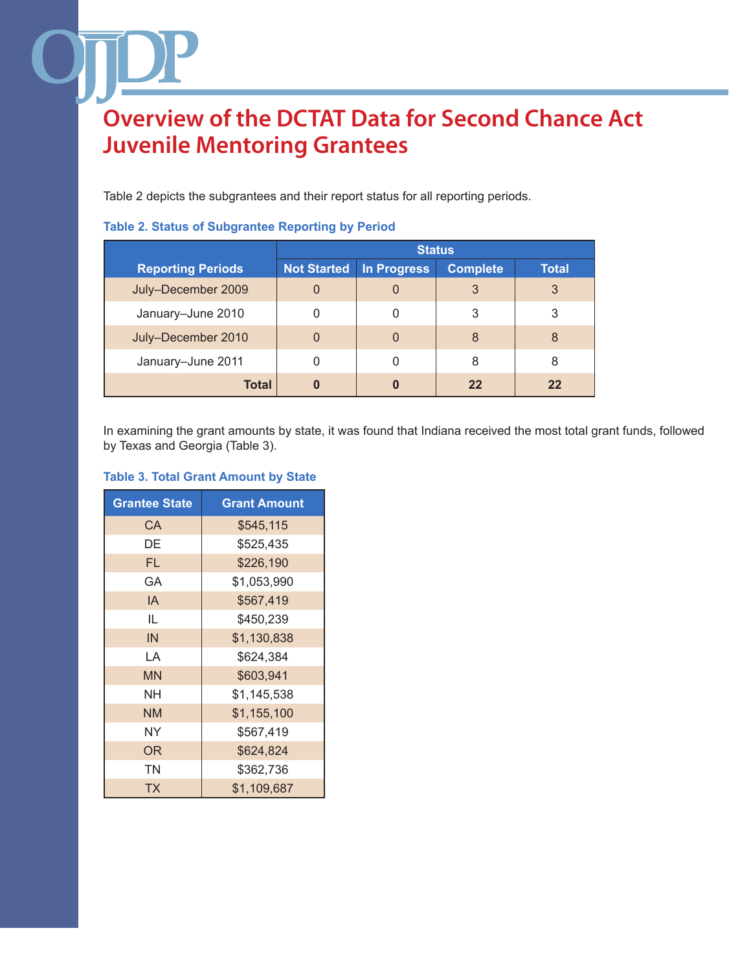Table 2 depicts the subgrantees and their report status for all reporting periods.

|                          | <b>Status</b>      |             |                 |       |
|--------------------------|--------------------|-------------|-----------------|-------|
| <b>Reporting Periods</b> | <b>Not Started</b> | In Progress | <b>Complete</b> | Total |
| July-December 2009       |                    | 0           | 3               | 3     |
| January-June 2010        |                    |             | 3               | 3     |
| July-December 2010       |                    | 0           | 8               | 8     |
| January-June 2011        |                    | 0           | 8               | 8     |
| <b>Total</b>             |                    | 0           | 22              | 22    |

### **Table 2. Status of Subgrantee Reporting by Period**

In examining the grant amounts by state, it was found that Indiana received the most total grant funds, followed by Texas and Georgia (Table 3).

### **Table 3. Total Grant Amount by State**

| <b>Grantee State</b> | <b>Grant Amount</b> |
|----------------------|---------------------|
| CA                   | \$545,115           |
| DE                   | \$525,435           |
| FL                   | \$226,190           |
| GА                   | \$1,053,990         |
| IA                   | \$567,419           |
| IL                   | \$450.239           |
| IN                   | \$1,130,838         |
| LΑ                   | \$624,384           |
| <b>MN</b>            | \$603,941           |
| NΗ                   | \$1,145,538         |
| <b>NM</b>            | \$1,155,100         |
| ΝY                   | \$567,419           |
| OR                   | \$624,824           |
| ΤN                   | \$362,736           |
| ТX                   | \$1,109,687         |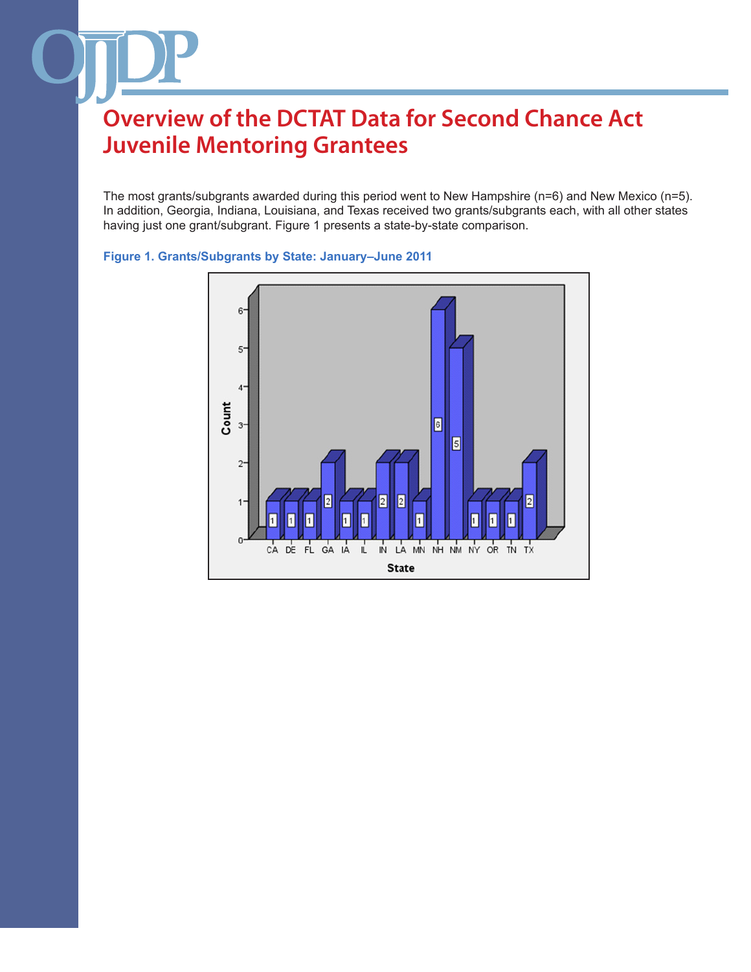The most grants/subgrants awarded during this period went to New Hampshire (n=6) and New Mexico (n=5). In addition, Georgia, Indiana, Louisiana, and Texas received two grants/subgrants each, with all other states having just one grant/subgrant. Figure 1 presents a state-by-state comparison.



### **Figure 1. Grants/Subgrants by State: January–June 2011**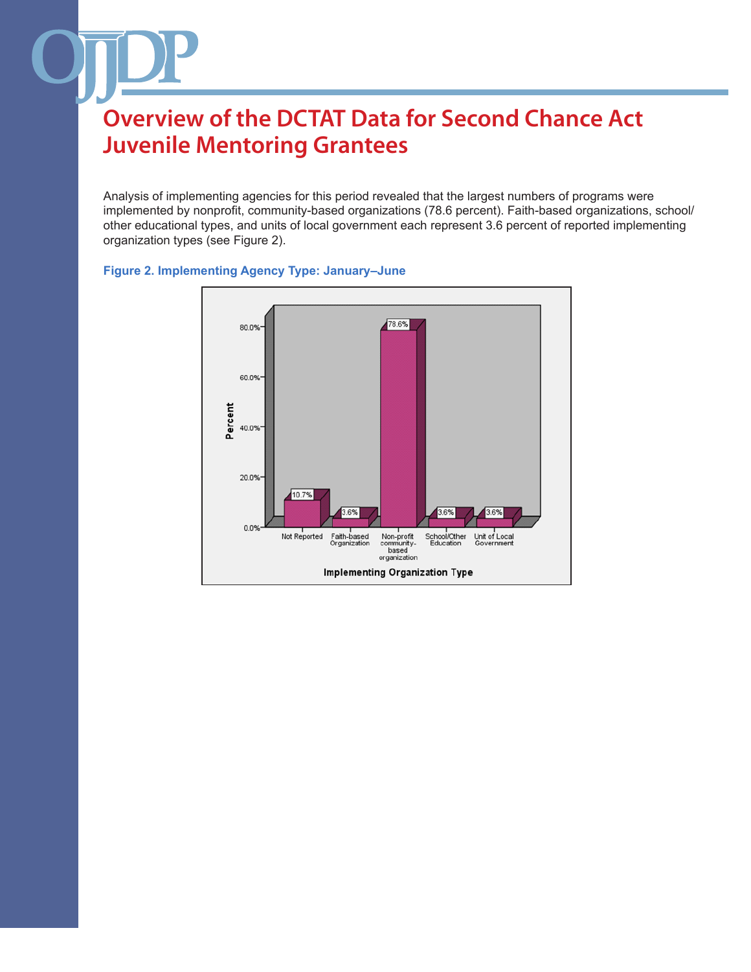Analysis of implementing agencies for this period revealed that the largest numbers of programs were implemented by nonprofit, community-based organizations (78.6 percent). Faith-based organizations, school/ other educational types, and units of local government each represent 3.6 percent of reported implementing organization types (see Figure 2).



### **Figure 2. Implementing Agency Type: January–June**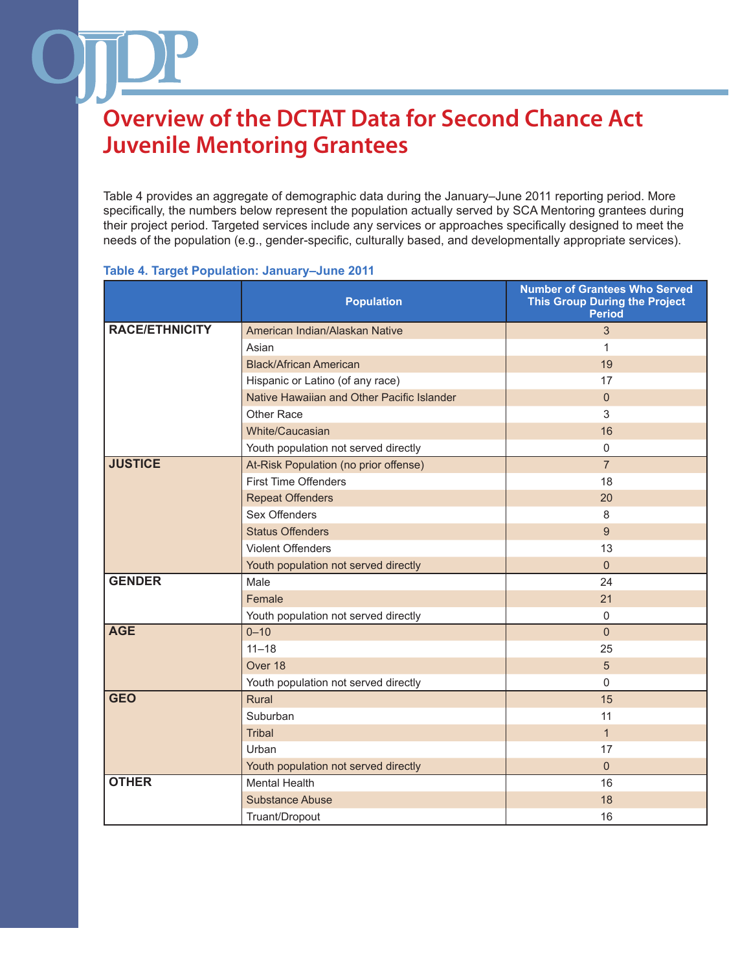Table 4 provides an aggregate of demographic data during the January–June 2011 reporting period. More specifically, the numbers below represent the population actually served by SCA Mentoring grantees during their project period. Targeted services include any services or approaches specifically designed to meet the needs of the population (e.g., gender-specific, culturally based, and developmentally appropriate services).

#### **Table 4. Target Population: January–June 2011**

|                       | <b>Population</b>                          | <b>Number of Grantees Who Served</b><br><b>This Group During the Project</b><br><b>Period</b> |
|-----------------------|--------------------------------------------|-----------------------------------------------------------------------------------------------|
| <b>RACE/ETHNICITY</b> | American Indian/Alaskan Native             | 3                                                                                             |
|                       | Asian                                      | 1                                                                                             |
|                       | <b>Black/African American</b>              | 19                                                                                            |
|                       | Hispanic or Latino (of any race)           | 17                                                                                            |
|                       | Native Hawaiian and Other Pacific Islander | $\overline{0}$                                                                                |
|                       | Other Race                                 | 3                                                                                             |
|                       | White/Caucasian                            | 16                                                                                            |
|                       | Youth population not served directly       | $\mathbf 0$                                                                                   |
| <b>JUSTICE</b>        | At-Risk Population (no prior offense)      | $\overline{7}$                                                                                |
|                       | <b>First Time Offenders</b>                | 18                                                                                            |
|                       | <b>Repeat Offenders</b>                    | 20                                                                                            |
|                       | Sex Offenders                              | 8                                                                                             |
|                       | <b>Status Offenders</b>                    | 9                                                                                             |
|                       | <b>Violent Offenders</b>                   | 13                                                                                            |
|                       | Youth population not served directly       | $\mathbf{0}$                                                                                  |
| <b>GENDER</b>         | Male                                       | 24                                                                                            |
|                       | Female                                     | 21                                                                                            |
|                       | Youth population not served directly       | $\mathbf 0$                                                                                   |
| <b>AGE</b>            | $0 - 10$                                   | $\mathbf{0}$                                                                                  |
|                       | $11 - 18$                                  | 25                                                                                            |
|                       | Over 18                                    | 5                                                                                             |
|                       | Youth population not served directly       | $\mathbf{0}$                                                                                  |
| <b>GEO</b>            | Rural                                      | 15                                                                                            |
|                       | Suburban                                   | 11                                                                                            |
|                       | <b>Tribal</b>                              | $\mathbf{1}$                                                                                  |
|                       | Urban                                      | 17                                                                                            |
|                       | Youth population not served directly       | $\overline{0}$                                                                                |
| <b>OTHER</b>          | <b>Mental Health</b>                       | 16                                                                                            |
|                       | <b>Substance Abuse</b>                     | 18                                                                                            |
|                       | Truant/Dropout                             | 16                                                                                            |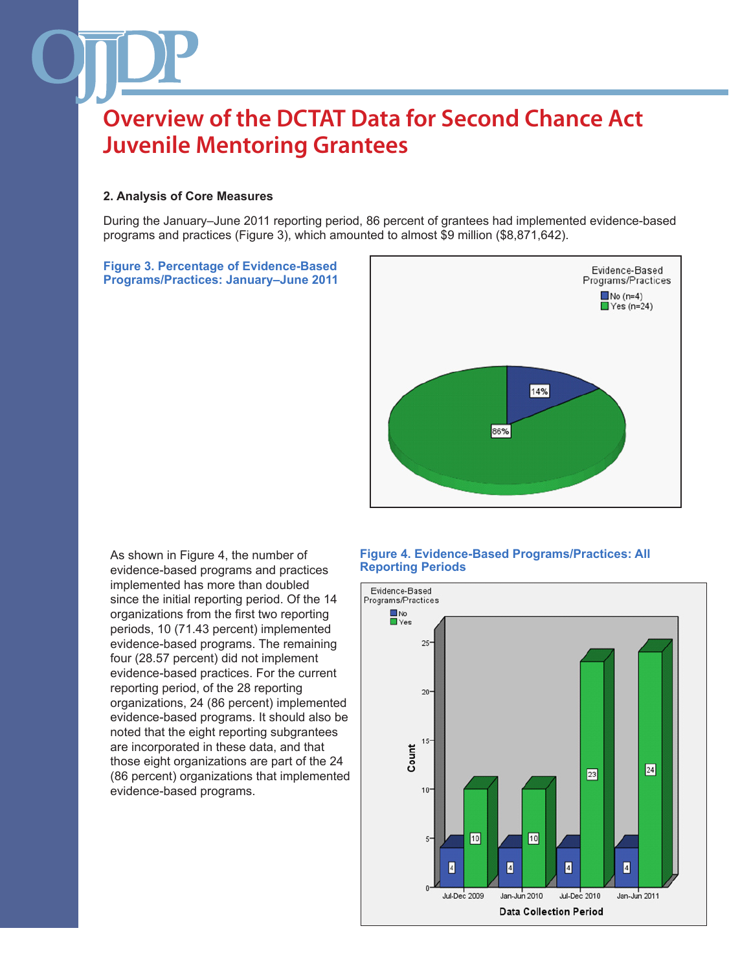#### **2. Analysis of Core Measures**

During the January–June 2011 reporting period, 86 percent of grantees had implemented evidence-based programs and practices (Figure 3), which amounted to almost \$9 million (\$8,871,642).

**Figure 3. Percentage of Evidence-Based Programs/Practices: January–June 2011** 



As shown in Figure 4, the number of evidence-based programs and practices implemented has more than doubled since the initial reporting period. Of the 14 organizations from the first two reporting periods, 10 (71.43 percent) implemented evidence-based programs. The remaining four (28.57 percent) did not implement evidence-based practices. For the current reporting period, of the 28 reporting organizations, 24 (86 percent) implemented evidence-based programs. It should also be noted that the eight reporting subgrantees are incorporated in these data, and that those eight organizations are part of the 24 (86 percent) organizations that implemented evidence-based programs.

#### **Figure 4. Evidence-Based Programs/Practices: All Reporting Periods**

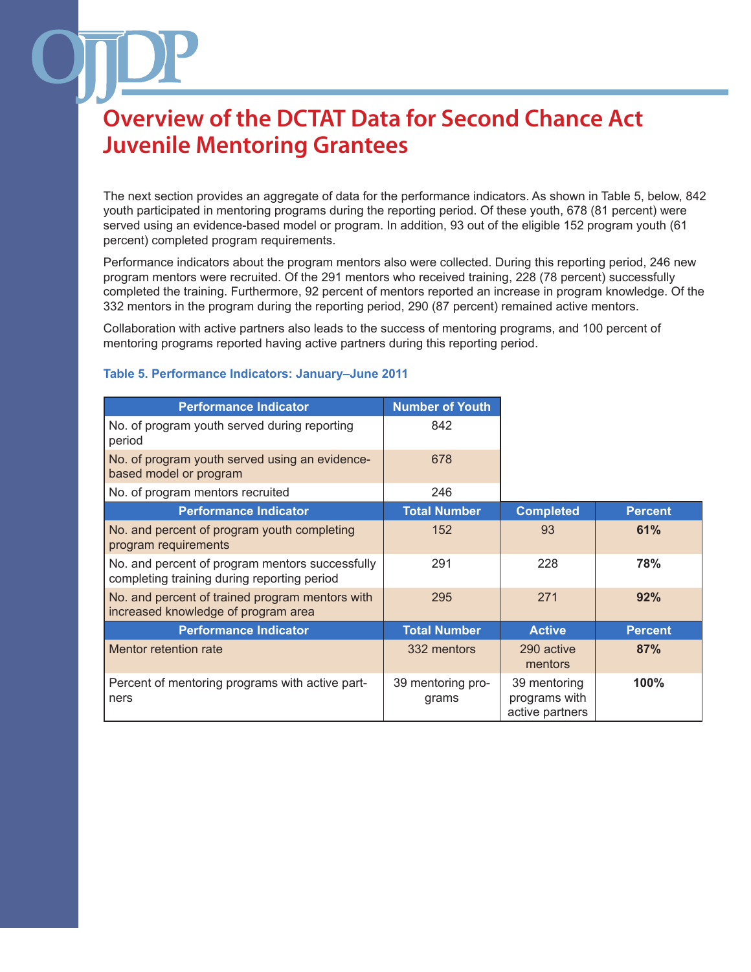The next section provides an aggregate of data for the performance indicators. As shown in Table 5, below, 842 youth participated in mentoring programs during the reporting period. Of these youth, 678 (81 percent) were served using an evidence-based model or program. In addition, 93 out of the eligible 152 program youth (61 percent) completed program requirements.

Performance indicators about the program mentors also were collected. During this reporting period, 246 new program mentors were recruited. Of the 291 mentors who received training, 228 (78 percent) successfully completed the training. Furthermore, 92 percent of mentors reported an increase in program knowledge. Of the 332 mentors in the program during the reporting period, 290 (87 percent) remained active mentors.

Collaboration with active partners also leads to the success of mentoring programs, and 100 percent of mentoring programs reported having active partners during this reporting period.

| <b>Performance Indicator</b>                                                                   | <b>Number of Youth</b>     |                                                  |                |
|------------------------------------------------------------------------------------------------|----------------------------|--------------------------------------------------|----------------|
| No. of program youth served during reporting<br>period                                         | 842                        |                                                  |                |
| No. of program youth served using an evidence-<br>based model or program                       | 678                        |                                                  |                |
| No. of program mentors recruited                                                               | 246                        |                                                  |                |
| <b>Performance Indicator</b>                                                                   | <b>Total Number</b>        | <b>Completed</b>                                 | <b>Percent</b> |
| No. and percent of program youth completing<br>program requirements                            | 152                        | 93                                               | 61%            |
| No. and percent of program mentors successfully<br>completing training during reporting period | 291                        | 228                                              | 78%            |
| No. and percent of trained program mentors with<br>increased knowledge of program area         | 295                        | 271                                              | 92%            |
| <b>Performance Indicator</b>                                                                   | <b>Total Number</b>        | <b>Active</b>                                    | <b>Percent</b> |
| Mentor retention rate                                                                          | 332 mentors                | 290 active<br>mentors                            | 87%            |
| Percent of mentoring programs with active part-<br>ners                                        | 39 mentoring pro-<br>grams | 39 mentoring<br>programs with<br>active partners | 100%           |

#### **Table 5. Performance Indicators: January–June 2011**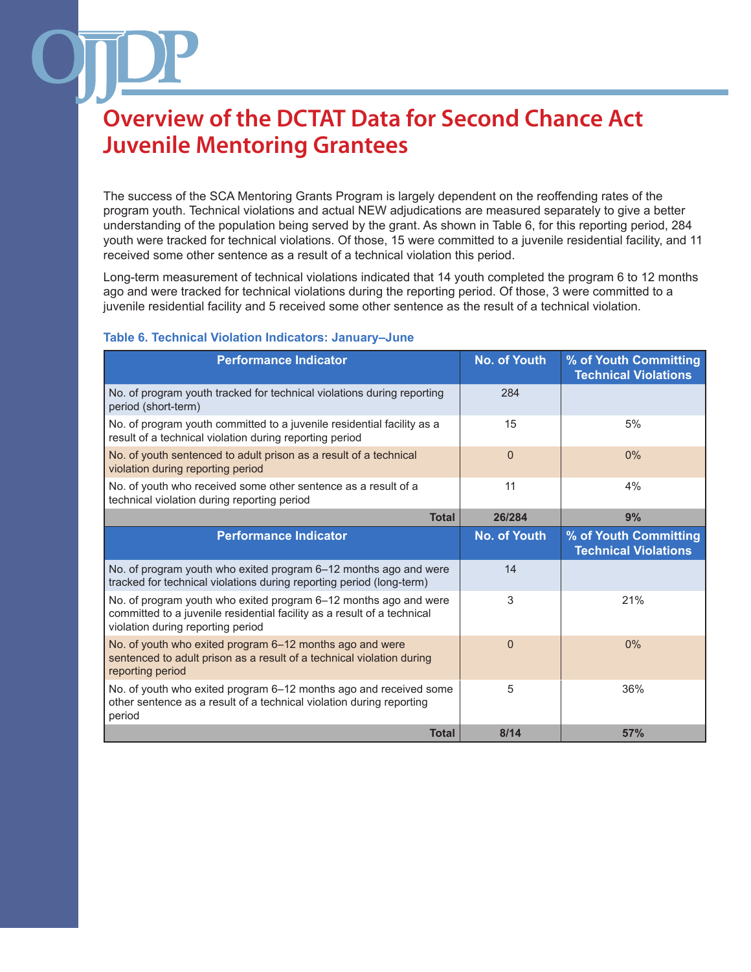The success of the SCA Mentoring Grants Program is largely dependent on the reoffending rates of the program youth. Technical violations and actual NEW adjudications are measured separately to give a better understanding of the population being served by the grant. As shown in Table 6, for this reporting period, 284 youth were tracked for technical violations. Of those, 15 were committed to a juvenile residential facility, and 11 received some other sentence as a result of a technical violation this period.

Long-term measurement of technical violations indicated that 14 youth completed the program 6 to 12 months ago and were tracked for technical violations during the reporting period. Of those, 3 were committed to a juvenile residential facility and 5 received some other sentence as the result of a technical violation.

### **Table 6. Technical Violation Indicators: January–June**

| <b>Performance Indicator</b>                                                                                                                                                     | <b>No. of Youth</b> | % of Youth Committing<br><b>Technical Violations</b> |
|----------------------------------------------------------------------------------------------------------------------------------------------------------------------------------|---------------------|------------------------------------------------------|
| No. of program youth tracked for technical violations during reporting<br>period (short-term)                                                                                    | 284                 |                                                      |
| No. of program youth committed to a juvenile residential facility as a<br>result of a technical violation during reporting period                                                | 15                  | 5%                                                   |
| No. of youth sentenced to adult prison as a result of a technical<br>violation during reporting period                                                                           | $\Omega$            | 0%                                                   |
| No. of youth who received some other sentence as a result of a<br>technical violation during reporting period                                                                    | 11                  | 4%                                                   |
| <b>Total</b>                                                                                                                                                                     | 26/284              | 9%                                                   |
| <b>Performance Indicator</b>                                                                                                                                                     | <b>No. of Youth</b> | % of Youth Committing<br><b>Technical Violations</b> |
| No. of program youth who exited program 6-12 months ago and were<br>tracked for technical violations during reporting period (long-term)                                         | 14                  |                                                      |
| No. of program youth who exited program 6-12 months ago and were<br>committed to a juvenile residential facility as a result of a technical<br>violation during reporting period | 3                   | 21%                                                  |
| No. of youth who exited program 6-12 months ago and were<br>sentenced to adult prison as a result of a technical violation during<br>reporting period                            | $\Omega$            | 0%                                                   |
| No. of youth who exited program 6-12 months ago and received some<br>other sentence as a result of a technical violation during reporting<br>period                              | 5                   | 36%                                                  |
|                                                                                                                                                                                  |                     |                                                      |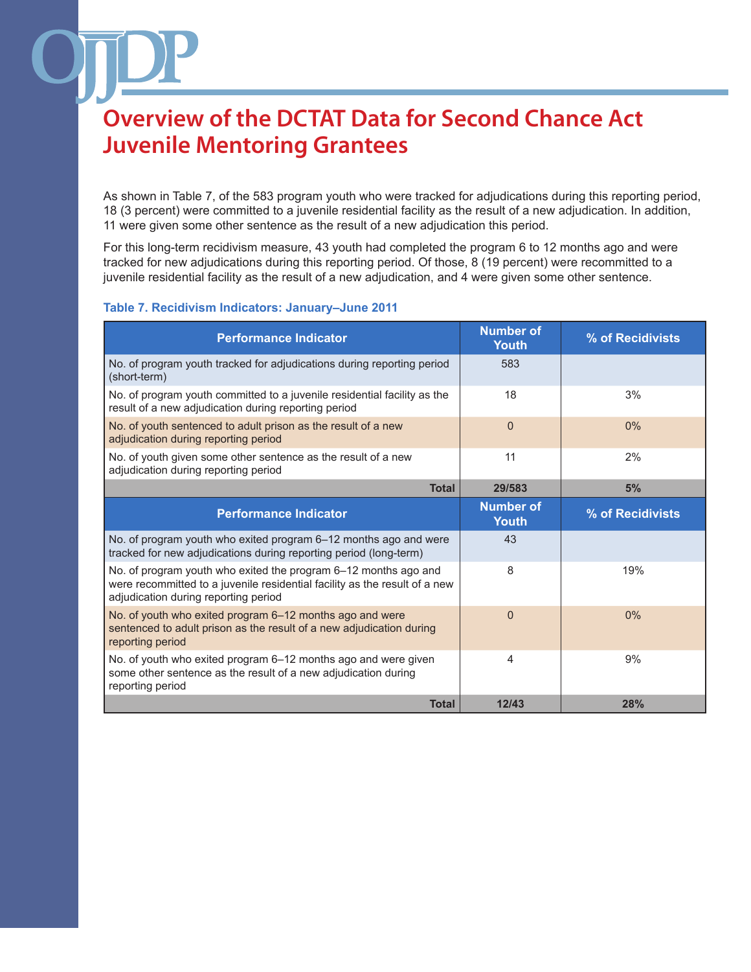As shown in Table 7, of the 583 program youth who were tracked for adjudications during this reporting period, 18 (3 percent) were committed to a juvenile residential facility as the result of a new adjudication. In addition, 11 were given some other sentence as the result of a new adjudication this period.

For this long-term recidivism measure, 43 youth had completed the program 6 to 12 months ago and were tracked for new adjudications during this reporting period. Of those, 8 (19 percent) were recommitted to a juvenile residential facility as the result of a new adjudication, and 4 were given some other sentence.

### **Table 7. Recidivism Indicators: January–June 2011**

| <b>Performance Indicator</b>                                                                                                                                                          | <b>Number of</b><br><b>Youth</b> | % of Recidivists |
|---------------------------------------------------------------------------------------------------------------------------------------------------------------------------------------|----------------------------------|------------------|
| No. of program youth tracked for adjudications during reporting period<br>(short-term)                                                                                                | 583                              |                  |
| No. of program youth committed to a juvenile residential facility as the<br>result of a new adjudication during reporting period                                                      | 18                               | 3%               |
| No. of youth sentenced to adult prison as the result of a new<br>adjudication during reporting period                                                                                 | $\overline{0}$                   | 0%               |
| No. of youth given some other sentence as the result of a new<br>adjudication during reporting period                                                                                 | 11                               | 2%               |
| <b>Total</b>                                                                                                                                                                          | 29/583                           | 5%               |
| <b>Performance Indicator</b>                                                                                                                                                          | <b>Number of</b><br><b>Youth</b> | % of Recidivists |
| No. of program youth who exited program 6-12 months ago and were<br>tracked for new adjudications during reporting period (long-term)                                                 | 43                               |                  |
| No. of program youth who exited the program 6-12 months ago and<br>were recommitted to a juvenile residential facility as the result of a new<br>adjudication during reporting period | 8                                | 19%              |
| No. of youth who exited program 6-12 months ago and were<br>sentenced to adult prison as the result of a new adjudication during<br>reporting period                                  | $\Omega$                         | 0%               |
| No. of youth who exited program 6-12 months ago and were given<br>some other sentence as the result of a new adjudication during<br>reporting period                                  | 4                                | 9%               |
| <b>Total</b>                                                                                                                                                                          | 12/43                            | <b>28%</b>       |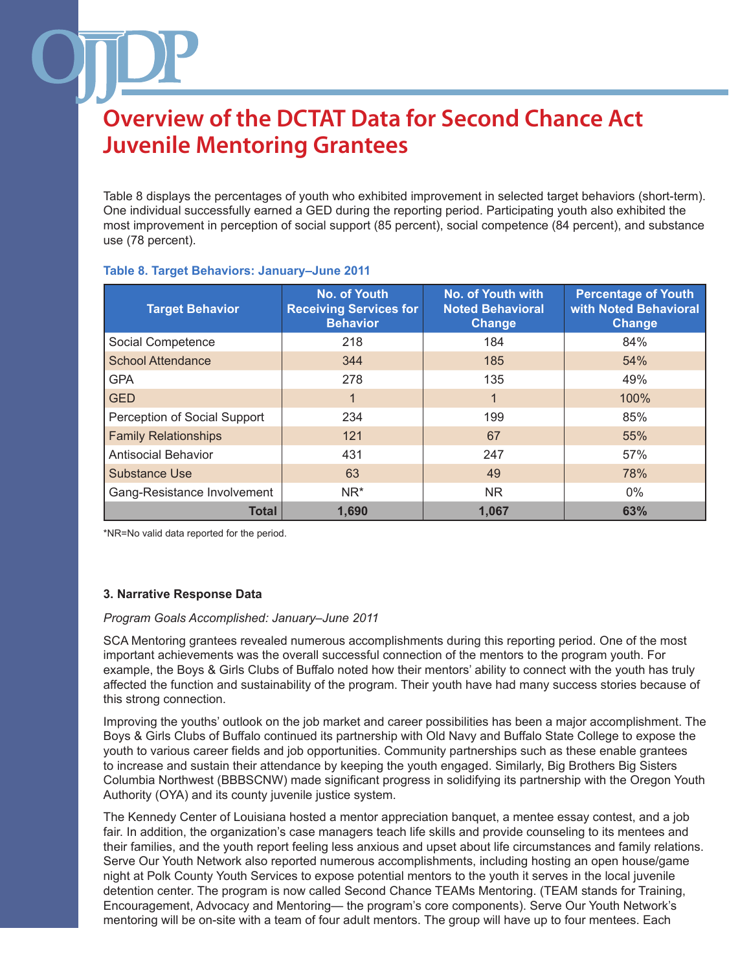Table 8 displays the percentages of youth who exhibited improvement in selected target behaviors (short-term). One individual successfully earned a GED during the reporting period. Participating youth also exhibited the most improvement in perception of social support (85 percent), social competence (84 percent), and substance use (78 percent).

| <b>Target Behavior</b>       | <b>No. of Youth</b><br><b>Receiving Services for</b><br><b>Behavior</b> | <b>No. of Youth with</b><br><b>Noted Behavioral</b><br><b>Change</b> | <b>Percentage of Youth</b><br>with Noted Behavioral<br>Change |
|------------------------------|-------------------------------------------------------------------------|----------------------------------------------------------------------|---------------------------------------------------------------|
| Social Competence            | 218                                                                     | 184                                                                  | 84%                                                           |
| <b>School Attendance</b>     | 344                                                                     | 185                                                                  | 54%                                                           |
| <b>GPA</b>                   | 278                                                                     | 135                                                                  | 49%                                                           |
| <b>GED</b>                   |                                                                         | 1                                                                    | 100%                                                          |
| Perception of Social Support | 234                                                                     | 199                                                                  | 85%                                                           |
| <b>Family Relationships</b>  | 121                                                                     | 67                                                                   | 55%                                                           |
| <b>Antisocial Behavior</b>   | 431                                                                     | 247                                                                  | 57%                                                           |
| <b>Substance Use</b>         | 63                                                                      | 49                                                                   | 78%                                                           |
| Gang-Resistance Involvement  | NR <sup>*</sup>                                                         | <b>NR</b>                                                            | $0\%$                                                         |
| <b>Total</b>                 | 1.690                                                                   | 1.067                                                                | 63%                                                           |

### **Table 8. Target Behaviors: January–June 2011**

\*NR=No valid data reported for the period.

### **3. Narrative Response Data**

#### *Program Goals Accomplished: January–June 2011*

SCA Mentoring grantees revealed numerous accomplishments during this reporting period. One of the most important achievements was the overall successful connection of the mentors to the program youth. For example, the Boys & Girls Clubs of Buffalo noted how their mentors' ability to connect with the youth has truly affected the function and sustainability of the program. Their youth have had many success stories because of this strong connection.

Improving the youths' outlook on the job market and career possibilities has been a major accomplishment. The Boys & Girls Clubs of Buffalo continued its partnership with Old Navy and Buffalo State College to expose the youth to various career fields and job opportunities. Community partnerships such as these enable grantees to increase and sustain their attendance by keeping the youth engaged. Similarly, Big Brothers Big Sisters Columbia Northwest (BBBSCNW) made significant progress in solidifying its partnership with the Oregon Youth Authority (OYA) and its county juvenile justice system.

The Kennedy Center of Louisiana hosted a mentor appreciation banquet, a mentee essay contest, and a job fair. In addition, the organization's case managers teach life skills and provide counseling to its mentees and their families, and the youth report feeling less anxious and upset about life circumstances and family relations. Serve Our Youth Network also reported numerous accomplishments, including hosting an open house/game night at Polk County Youth Services to expose potential mentors to the youth it serves in the local juvenile detention center. The program is now called Second Chance TEAMs Mentoring. (TEAM stands for Training, Encouragement, Advocacy and Mentoring— the program's core components). Serve Our Youth Network's mentoring will be on-site with a team of four adult mentors. The group will have up to four mentees. Each